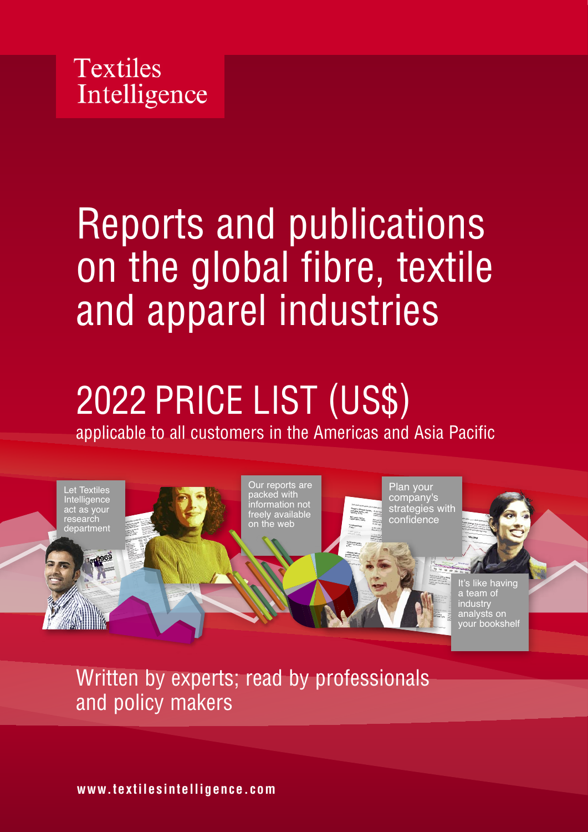

# Reports and publications on the global fibre, textile and apparel industries

# 2022 PRICE LIST (US\$) applicable to all customers in the Americas and Asia Pacific



Written by experts; read by professionals and policy makers

**www.textilesintelligence.com**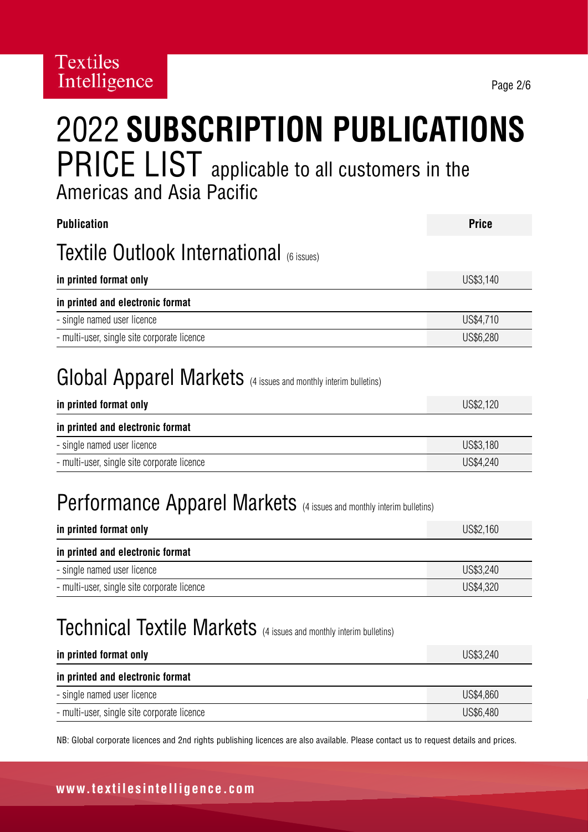## 2022 **SUBSCRIPTION PUBLICATIONS** PRICE LIST applicable to all customers in the Americas and Asia Pacific

| <b>Publication</b>                                                                        | <b>Price</b> |
|-------------------------------------------------------------------------------------------|--------------|
| <b>Textile Outlook International (6 issues)</b>                                           |              |
| in printed format only                                                                    | US\$3,140    |
| in printed and electronic format                                                          |              |
| - single named user licence                                                               | US\$4,710    |
| - multi-user, single site corporate licence                                               | US\$6,280    |
| Global Apparel Markets (4 issues and monthly interim bulletins)<br>in printed format only | US\$2,120    |
| in printed and electronic format                                                          |              |
| - single named user licence                                                               | US\$3,180    |
| - multi-user, single site corporate licence                                               | US\$4,240    |
| <b>Performance Apparel Markets</b> (4 issues and monthly interim bulletins)               |              |

| in printed format only                      | US\$2,160 |
|---------------------------------------------|-----------|
| in printed and electronic format            |           |
| - single named user licence                 | US\$3,240 |
| - multi-user, single site corporate licence | US\$4,320 |

### Technical Textile Markets (4 issues and monthly interim bulletins)

| in printed format only                      | US\$3,240 |
|---------------------------------------------|-----------|
| in printed and electronic format            |           |
| - single named user licence                 | US\$4,860 |
| - multi-user, single site corporate licence | US\$6,480 |

NB: Global corporate licences and 2nd rights publishing licences are also available. Please contact us to request details and prices.

#### **www.textilesintelligence.com**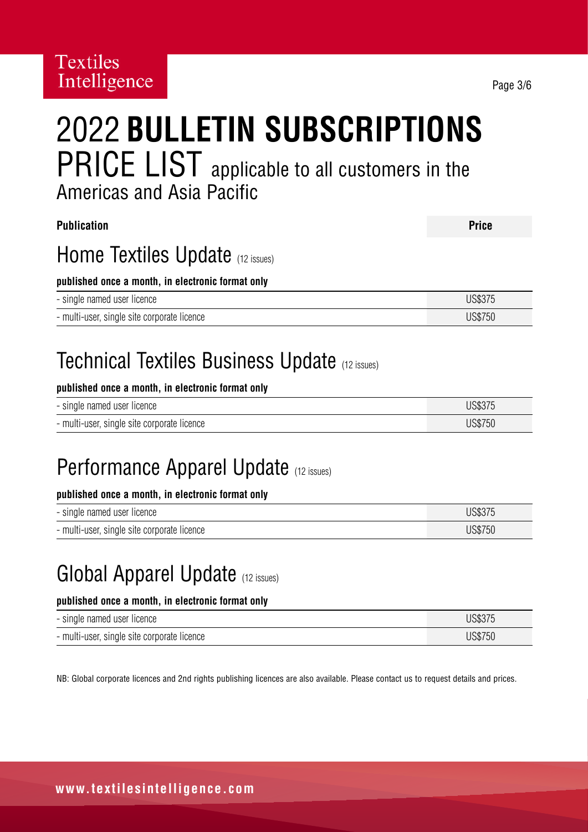# 2022 **BULLETIN SUBSCRIPTIONS** PRICE LIST applicable to all customers in the Americas and Asia Pacific

**Publication Price**

### Home Textiles Update (12 issues)

#### **published once a month, in electronic format only**

| - single named user licence                 | <b>US\$375</b> |
|---------------------------------------------|----------------|
| - multi-user, single site corporate licence | <b>US\$750</b> |

### Technical Textiles Business Update (12 issues)

#### **published once a month, in electronic format only**

| - single named user licence                 | <b>US\$375</b> |
|---------------------------------------------|----------------|
| - multi-user, single site corporate licence | <b>US\$750</b> |

### Performance Apparel Update (12 issues)

#### **published once a month, in electronic format only**

| - single named user licence                 | <b>JS\$375</b> |
|---------------------------------------------|----------------|
| - multi-user, single site corporate licence | US\$750        |

### Global Apparel Update (12 issues)

#### **published once a month, in electronic format only**

| - single named user licence                 | <b>JS\$375</b> |
|---------------------------------------------|----------------|
| - multi-user, single site corporate licence | JS\$750        |

NB: Global corporate licences and 2nd rights publishing licences are also available. Please contact us to request details and prices.

Page 3/6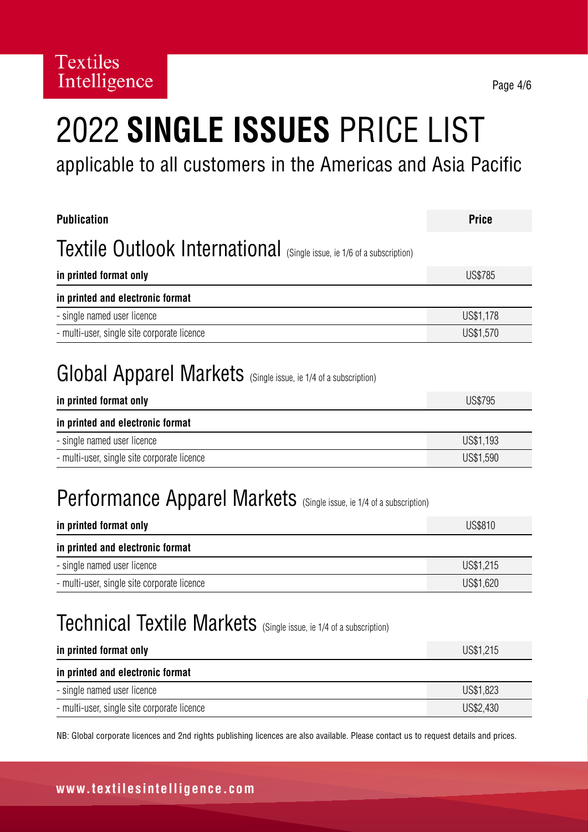# 2022 **SINGLE ISSUES** PRICE LIST

applicable to all customers in the Americas and Asia Pacific

| <b>Publication</b>                                                                                                                    | <b>Price</b>   |
|---------------------------------------------------------------------------------------------------------------------------------------|----------------|
| <b>Textile Outlook International</b> (Single issue, ie 1/6 of a subscription)                                                         |                |
| in printed format only                                                                                                                | <b>US\$785</b> |
| in printed and electronic format                                                                                                      |                |
| - single named user licence                                                                                                           | US\$1,178      |
| - multi-user, single site corporate licence                                                                                           | US\$1,570      |
| <b>Global Apparel Markets</b> (Single issue, ie 1/4 of a subscription)                                                                |                |
| in printed format only                                                                                                                | <b>US\$795</b> |
| in printed and electronic format                                                                                                      |                |
| - single named user licence                                                                                                           | US\$1,193      |
| - multi-user, single site corporate licence                                                                                           | US\$1,590      |
| <b>Performance Apparel Markets</b> (Single issue, ie 1/4 of a subscription)                                                           |                |
| in printed format only                                                                                                                | <b>US\$810</b> |
| in printed and electronic format                                                                                                      |                |
| - single named user licence                                                                                                           | US\$1,215      |
| - multi-user, single site corporate licence                                                                                           | US\$1,620      |
| <b>Technical Textile Markets</b> (Single issue, ie 1/4 of a subscription)                                                             |                |
| in printed format only                                                                                                                | US\$1,215      |
| in printed and electronic format                                                                                                      |                |
| - single named user licence                                                                                                           | US\$1,823      |
| - multi-user, single site corporate licence                                                                                           | US\$2,430      |
| NB: Global corporate licences and 2nd rights publishing licences are also available. Please contact us to request details and prices. |                |

**www.textilesintelligence.com**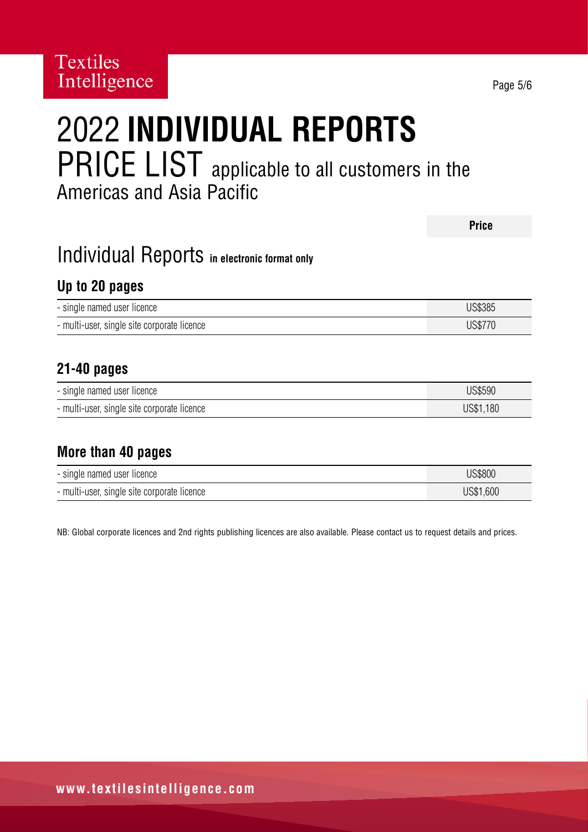# 2022 **INDIVIDUAL REPORTS**  PRICE LIST applicable to all customers in the Americas and Asia Pacific

|                                              | <b>Price</b>   |
|----------------------------------------------|----------------|
| Individual Reports in electronic format only |                |
| Up to 20 pages                               |                |
| - single named user licence                  | <b>US\$385</b> |
| - multi-user, single site corporate licence  | <b>US\$770</b> |
| 21-40 pages                                  |                |
| - single named user licence                  | US\$590        |
| - multi-user, single site corporate licence  | US\$1,180      |
| More than 40 pages                           |                |
| - single named user licence                  | US\$800        |
| - multi-user, single site corporate licence  | US\$1,600      |

NB: Global corporate licences and 2nd rights publishing licences are also available. Please contact us to request details and prices.

Page 5/6